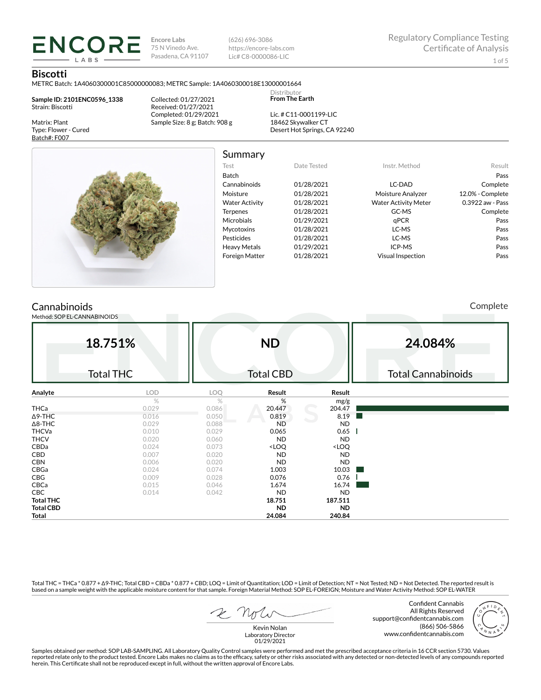**Encore Labs** 75 N Vinedo Ave. Pasadena, CA 91107 (626) 696-3086 https://encore-labs.com Lic# C8-0000086-LIC

Summary

Distributor **From The Earth**

### **Biscotti**

Matrix: Plant Type: Flower - Cured Batch#: F007

METRC Batch: 1A4060300001C85000000083; METRC Sample: 1A4060300018E13000001664

**Sample ID: 2101ENC0596\_1338** Strain: Biscotti

**ENCORE** LABS

> Collected: 01/27/2021 Received: 01/27/2021 Completed: 01/29/2021 Sample Size: 8 g; Batch: 908 g

Lic. # C11-0001199-LIC 18462 Skywalker CT Desert Hot Springs, CA 92240



| Test                  | Date Tested | Instr. Method               | Result           |
|-----------------------|-------------|-----------------------------|------------------|
| <b>Batch</b>          |             |                             | Pass             |
| Cannabinoids          | 01/28/2021  | LC-DAD                      | Complete         |
| Moisture              | 01/28/2021  | Moisture Analyzer           | 12.0% - Complete |
| <b>Water Activity</b> | 01/28/2021  | <b>Water Activity Meter</b> | 0.3922 aw - Pass |
| <b>Terpenes</b>       | 01/28/2021  | GC-MS                       | Complete         |
| <b>Microbials</b>     | 01/29/2021  | qPCR                        | Pass             |
| <b>Mycotoxins</b>     | 01/28/2021  | LC-MS                       | Pass             |
| Pesticides            | 01/28/2021  | LC-MS                       | Pass             |
| <b>Heavy Metals</b>   | 01/29/2021  | ICP-MS                      | Pass             |
| <b>Foreign Matter</b> | 01/28/2021  | <b>Visual Inspection</b>    | Pass             |

## **Cannabinoids**

Method: SOP EL-CANNABINOIDS

Complete

| 18.751%<br><b>Total THC</b> |       | <b>ND</b><br><b>Total CBD</b> |                                                          |                              | 24.084%<br><b>Total Cannabinoids</b> |  |  |
|-----------------------------|-------|-------------------------------|----------------------------------------------------------|------------------------------|--------------------------------------|--|--|
| Analyte                     | LOD   | LOQ                           | Result                                                   | Result                       |                                      |  |  |
|                             | $\%$  | $\%$                          | %                                                        | mg/g                         |                                      |  |  |
| <b>THCa</b>                 | 0.029 | 0.086                         | 20.447                                                   | 204.47                       |                                      |  |  |
| $\Delta$ 9-THC              | 0.016 | 0.050                         | 0.819                                                    | 8.19                         |                                      |  |  |
| $\Delta$ 8-THC              | 0.029 | 0.088                         | <b>ND</b>                                                | <b>ND</b>                    |                                      |  |  |
| THCVa                       | 0.010 | 0.029                         | 0.065                                                    | 0.65                         |                                      |  |  |
| <b>THCV</b>                 | 0.020 | 0.060                         | <b>ND</b>                                                | <b>ND</b>                    |                                      |  |  |
| CBDa                        | 0.024 | 0.073                         | <loq< td=""><td><loq< td=""><td></td></loq<></td></loq<> | <loq< td=""><td></td></loq<> |                                      |  |  |
| CBD                         | 0.007 | 0.020                         | <b>ND</b>                                                | <b>ND</b>                    |                                      |  |  |
| <b>CBN</b>                  | 0.006 | 0.020                         | <b>ND</b>                                                | <b>ND</b>                    |                                      |  |  |
| CBGa                        | 0.024 | 0.074                         | 1.003                                                    | 10.03                        |                                      |  |  |
| CBG                         | 0.009 | 0.028                         | 0.076                                                    | 0.76                         |                                      |  |  |
| CBCa                        | 0.015 | 0.046                         | 1.674                                                    | 16.74                        |                                      |  |  |
| CBC                         | 0.014 | 0.042                         | <b>ND</b>                                                | <b>ND</b>                    |                                      |  |  |
| <b>Total THC</b>            |       |                               | 18.751                                                   | 187.511                      |                                      |  |  |
| <b>Total CBD</b>            |       |                               | <b>ND</b>                                                | <b>ND</b>                    |                                      |  |  |
| Total                       |       |                               | 24.084                                                   | 240.84                       |                                      |  |  |

Total THC = THCa \* 0.877 + ∆9-THC; Total CBD = CBDa \* 0.877 + CBD; LOQ = Limit of Quantitation; LOD = Limit of Detection; NT = Not Tested; ND = Not Detected. The reported result is based on a sample weight with the applicable moisture content for that sample. Foreign Material Method: SOP EL-FOREIGN; Moisture and Water Activity Method: SOP EL-WATER

 $R$  Mr

Confident Cannabis All Rights Reserved support@confidentcannabis.com (866) 506-5866 www.confidentcannabis.com



Kevin Nolan Laboratory Director 01/29/2021

Samples obtained per method: SOP LAB-SAMPLING. All Laboratory Quality Control samples were performed and met the prescribed acceptance criteria in 16 CCR section 5730. Values reported relate only to the product tested. Encore Labs makes no claims as to the efficacy, safety or other risks associated with any detected or non-detected levels of any compounds reported<br>herein. This Certificate shall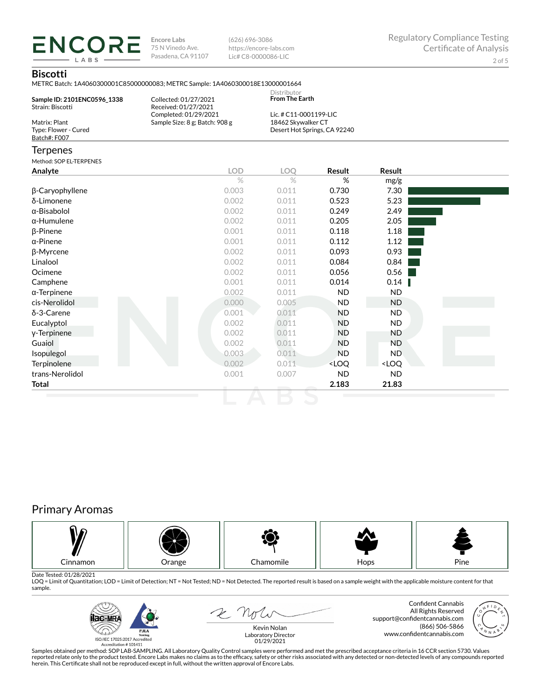**ENCORE Encore Labs** 75 N Vinedo Ave. Pasadena, CA 91107

(626) 696-3086 https://encore-labs.com Lic# C8-0000086-LIC

## **Biscotti**

LABS

|                                                       | METRC Batch: 1A4060300001C85000000083; METRC Sample: 1A4060300018E13000001664 |                                                                              |           |               |  |
|-------------------------------------------------------|-------------------------------------------------------------------------------|------------------------------------------------------------------------------|-----------|---------------|--|
| Sample ID: 2101ENC0596_1338<br>Strain: Biscotti       | Collected: 01/27/2021<br>Received: 01/27/2021                                 | Distributor<br><b>From The Earth</b>                                         |           |               |  |
| Matrix: Plant<br>Type: Flower - Cured<br>Batch#: F007 | Completed: 01/29/2021<br>Sample Size: 8 g; Batch: 908 g                       | Lic. # C11-0001199-LIC<br>18462 Skywalker CT<br>Desert Hot Springs, CA 92240 |           |               |  |
| <b>Terpenes</b>                                       |                                                                               |                                                                              |           |               |  |
| Method: SOP EL-TERPENES                               |                                                                               |                                                                              |           |               |  |
| Analyte                                               | <b>LOD</b>                                                                    | LOQ                                                                          | Result    | <b>Result</b> |  |
|                                                       | $\frac{1}{2}$                                                                 | $\%$                                                                         | %         | mg/g          |  |
| β-Caryophyllene                                       | 0.003                                                                         | 0.011                                                                        | 0.730     | 7.30          |  |
| δ-Limonene                                            | 0.002                                                                         | 0.011                                                                        | 0.523     | 5.23          |  |
| α-Bisabolol                                           | 0.002                                                                         | 0.011                                                                        | 0.249     | 2.49          |  |
| $\alpha$ -Humulene                                    | 0.002                                                                         | 0.011                                                                        | 0.205     | 2.05          |  |
| $\beta$ -Pinene                                       | 0.001                                                                         | 0.011                                                                        | 0.118     | 1.18          |  |
| $\alpha$ -Pinene                                      | 0.001                                                                         | 0.011                                                                        | 0.112     | 1.12          |  |
| β-Myrcene                                             | 0.002                                                                         | 0.011                                                                        | 0.093     | 0.93          |  |
| Linalool                                              | 0.002                                                                         | 0.011                                                                        | 0.084     | 0.84          |  |
| Ocimene                                               | 0.002                                                                         | 0.011                                                                        | 0.056     | 0.56          |  |
| Camphene                                              | 0.001                                                                         | 0.011                                                                        | 0.014     | 0.14          |  |
| $\alpha$ -Terpinene                                   | 0.002                                                                         | 0.011                                                                        | <b>ND</b> | <b>ND</b>     |  |
| cis-Nerolidol                                         | 0.000                                                                         | 0.005                                                                        | <b>ND</b> | <b>ND</b>     |  |
| δ-3-Carene                                            | 0.001                                                                         | 0.011                                                                        | <b>ND</b> | <b>ND</b>     |  |
| Eucalyptol                                            | 0.002                                                                         | 0.011                                                                        | <b>ND</b> | <b>ND</b>     |  |
| y-Terpinene                                           | 0.002                                                                         | 0.011                                                                        | <b>ND</b> | <b>ND</b>     |  |
| Guaiol                                                | 0.002                                                                         | 0.011                                                                        | <b>ND</b> | <b>ND</b>     |  |

Isopulegol 0.003 0.011 ND ND Terpinolene  $0.002$   $0.011$   $<$  LOQ  $<$  LOQ trans-Nerolidol 0.001 0.007 ND ND **Total 2.183 21.83**

# Primary Aromas



Date Tested: 01/28/2021<br>LOQ = Limit of Quantitation; LOD = Limit of Detection; NT = Not Tested; ND = Not Detected. The reported result is based on a sample weight with the applicable moisture content for that sample.



E note

Confident Cannabis All Rights Reserved support@confidentcannabis.com (866) 506-5866 www.confidentcannabis.com



Kevin Nolan Laboratory Director 01/29/2021

Samples obtained per method: SOP LAB-SAMPLING. All Laboratory Quality Control samples were performed and met the prescribed acceptance criteria in 16 CCR section 5730. Values reported relate only to the product tested. Encore Labs makes no claims as to the efficacy, safety or other risks associated with any detected or non-detected levels of any compounds reported<br>herein. This Certificate shall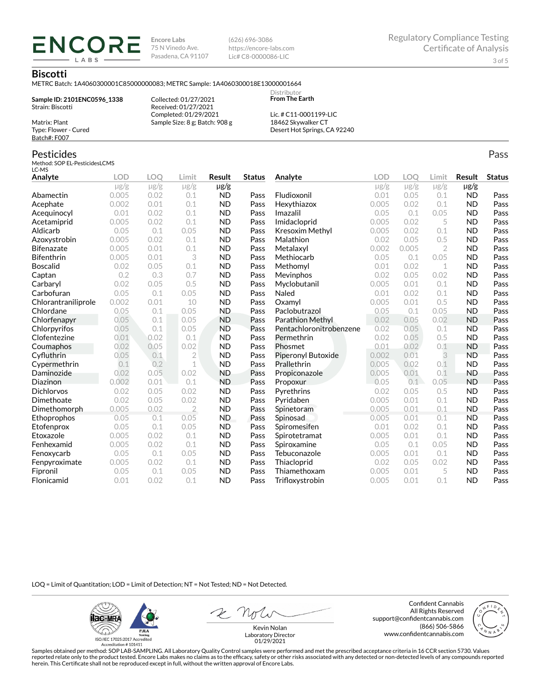**Encore Labs** 75 N Vinedo Ave. Pasadena, CA 91107 (626) 696-3086 https://encore-labs.com Lic# C8-0000086-LIC

> **Distributor From The Earth**

### **Biscotti**

Matrix: Plant Type: Flower - Cured Batch#: F007

Pesticides

METRC Batch: 1A4060300001C85000000083; METRC Sample: 1A4060300018E13000001664

**Sample ID: 2101ENC0596\_1338** Strain: Biscotti

**ENCORE** LABS

> Received: 01/27/2021 Completed: 01/29/2021 Sample Size: 8 g; Batch: 908 g

Collected: 01/27/2021

Lic. # C11-0001199-LIC 18462 Skywalker CT Desert Hot Springs, CA 92240

#### Method: SOP EL-PesticidesLCMS LC-MS **Analyte LOD LOQ Limit Result Status**  $\mu$ g/g  $\mu$ g/g  $\mu$ g/g  $\mu$ g/g Abamectin 0.005 0.02 0.1 ND Pass Acephate 0.002 0.01 0.1 ND Pass Acequinocyl 0.01 0.02 0.1 ND Pass Acetamiprid 0.005 0.02 0.1 ND Pass Aldicarb 0.05 0.1 0.05 ND Pass Azoxystrobin 0.005 0.02 0.1 ND Pass Bifenazate 0.005 0.01 0.1 ND Pass Bifenthrin 0.005 0.01 3 ND Pass Boscalid 0.02 0.05 0.1 ND Pass **Captan 12 0.2 0.3 0.7 ND Pass Carbaryl 0.02 0.05 0.5 ND Pass** Carbofuran 0.05 0.1 0.05 ND Pass Chlorantraniliprole 0.002 0.01 10 ND Pass Chlordane 0.05 0.1 0.05 ND Pass Chlorfenapyr 0.05 0.1 0.05 ND Pass Chlorpyrifos 0.05 0.1 0.05 ND Pass Clofentezine 0.01 0.02 0.1 ND Pass Coumaphos 0.02 0.05 0.02 ND Pass Cyfluthrin 0.05 0.1 2 ND Pass Cypermethrin 0.1 0.2 1 ND Pass Daminozide 0.02 0.05 0.02 ND Pass **Diazinon** 0.002 0.01 0.1 ND Pass Dichlorvos 0.02 0.05 0.02 ND Pass Dimethoate 0.02 0.05 0.02 ND Pass Dimethomorph 0.005 0.02 2 ND Pass Ethoprophos 0.05 0.1 0.05 ND Pass Etofenprox 0.05 0.1 0.05 ND Pass Etoxazole 0.005 0.02 0.1 ND Pass Fenhexamid 0.005 0.02 0.1 ND Pass Fenoxycarb 0.05 0.1 0.05 ND Pass Fenpyroximate 0.005 0.02 0.1 ND Pass Fipronil 0.05 0.1 0.05 ND Pass Flonicamid 0.01 0.02 0.1 ND Pass **Analyte LOD LOQ Limit Result Status**  $\mu$ g/g  $\mu$ g/g  $\mu$ g/g  $\mu$ g/g Fludioxonil 0.01 0.05 0.1 ND Pass Hexythiazox 0.005 0.02 0.1 ND Pass **Imazalil 11 0.05 0.1 0.05 ND Pass** Imidacloprid 0.005 0.02 5 ND Pass Kresoxim Methyl  $0.005$  0.02 0.1 ND Pass **Malathion** 0.02 0.05 0.5 **ND Pass** Metalaxyl 0.002 0.005 2 ND Pass Methiocarb 0.05 0.1 0.05 ND Pass **Methomyl** 0.01 0.02 1 **ND Pass** Mevinphos 0.02 0.05 0.02 ND Pass Myclobutanil 0.005 0.01 0.1 ND Pass **Naled 1200 0.01 0.02 0.1 ND Pass Oxamyl** 0.005 0.01 0.5 **ND Pass** Paclobutrazol 0.05 0.1 0.05 ND Pass Parathion Methyl 0.02 0.05 0.02 ND Pass Pentachloronitrobenzene 0.02 0.05 0.1 ND Pass Permethrin 0.02 0.05 0.5 ND Pass **Phosmet** 0.01 0.02 0.1 **ND Pass** Piperonyl Butoxide 0.002 0.01 3 ND Pass Prallethrin 0.005 0.02 0.1 ND Pass Propiconazole 0.005 0.01 0.1 ND Pass **Propoxur 1988 0.05 0.1 0.05 ND Pass** Pyrethrins 0.02 0.05 0.5 ND Pass **Pyridaben 1988 0.005 0.01 0.1 ND Pass Spinetoram 0.005 0.01 0.1 ND Pass** Spinosad 0.005 0.01 0.1 ND Pass Spiromesifen 0.01 0.02 0.1 ND Pass Spirotetramat 0.005 0.01 0.1 ND Pass Spiroxamine 0.05 0.1 0.05 ND Pass Tebuconazole 0.005 0.01 0.1 ND Pass Thiacloprid 0.02 0.05 0.02 ND Pass Thiamethoxam 0.005 0.01 5 ND Pass Trifloxystrobin 0.005 0.01 0.1 ND Pass

LOQ = Limit of Quantitation; LOD = Limit of Detection; NT = Not Tested; ND = Not Detected.

**Hac-MRA PJLA**  $d_{\rm obs}$ ISO/IEC 17025:2017 Accredited

Accreditation #101411

Z Not

Confident Cannabis All Rights Reserved support@confidentcannabis.com (866) 506-5866 www.confidentcannabis.com



Kevin Nolan Laboratory Director 01/29/2021

Samples obtained per method: SOP LAB-SAMPLING. All Laboratory Quality Control samples were performed and met the prescribed acceptance criteria in 16 CCR section 5730. Values reported relate only to the product tested. Encore Labs makes no claims as to the efficacy, safety or other risks associated with any detected or non-detected levels of any compounds reported herein. This Certificate shall not be reproduced except in full, without the written approval of Encore Labs.

Pass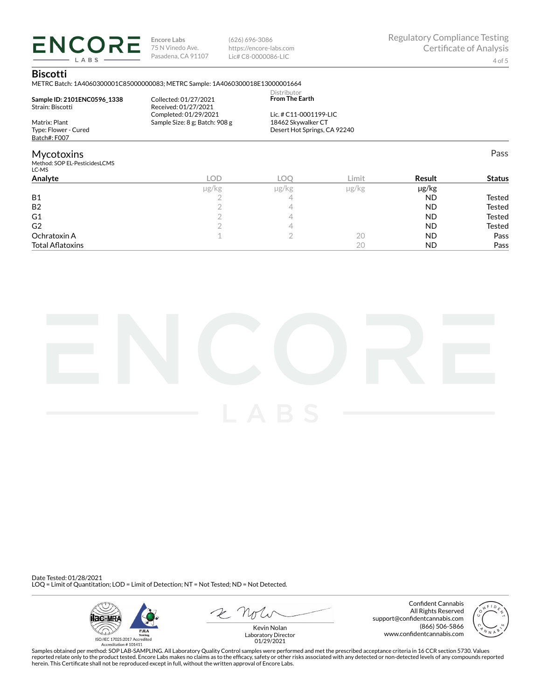**ENCORE** LABS

**Encore Labs** 75 N Vinedo Ave. Pasadena, CA 91107

(626) 696-3086 https://encore-labs.com Lic# C8-0000086-LIC

Pass

### **Biscotti**

METRC Batch: 1A4060300001C85000000083; METRC Sample: 1A4060300018E13000001664

|                                        |                                | Distributor                                  |  |  |
|----------------------------------------|--------------------------------|----------------------------------------------|--|--|
| Sample ID: 2101ENC0596 1338            | Collected: 01/27/2021          | <b>From The Earth</b>                        |  |  |
| Strain: Biscotti                       | Received: 01/27/2021           |                                              |  |  |
|                                        | Completed: 01/29/2021          | Lic. # C11-0001199-LIC<br>18462 Skywalker CT |  |  |
| Matrix: Plant                          | Sample Size: 8 g; Batch: 908 g |                                              |  |  |
| Type: Flower - Cured                   |                                | Desert Hot Springs, CA 92240                 |  |  |
| Batch#: F007                           |                                |                                              |  |  |
| <b>Mycotoxins</b>                      |                                |                                              |  |  |
| Method: SOP EL-PesticidesLCMS<br>LC-MS |                                |                                              |  |  |
| .                                      | <b>COMPANY</b>                 |                                              |  |  |

| Analyte                 | LOD.       | LOC        | Limit      | Result    | <b>Status</b> |
|-------------------------|------------|------------|------------|-----------|---------------|
|                         | $\mu$ g/kg | $\mu$ g/kg | $\mu$ g/kg | µg/kg     |               |
| <b>B1</b>               |            |            |            | <b>ND</b> | Tested        |
| <b>B2</b>               |            |            |            | <b>ND</b> | <b>Tested</b> |
| G1                      |            |            |            | <b>ND</b> | <b>Tested</b> |
| G <sub>2</sub>          |            |            |            | <b>ND</b> | <b>Tested</b> |
| Ochratoxin A            |            |            | 20         | <b>ND</b> | Pass          |
| <b>Total Aflatoxins</b> |            |            | 20         | <b>ND</b> | Pass          |



Date Tested: 01/28/2021 LOQ = Limit of Quantitation; LOD = Limit of Detection; NT = Not Tested; ND = Not Detected.



 $R$  Mr

Confident Cannabis All Rights Reserved support@confidentcannabis.com (866) 506-5866 www.confidentcannabis.com



Kevin Nolan Laboratory Director 01/29/2021

Samples obtained per method: SOP LAB-SAMPLING. All Laboratory Quality Control samples were performed and met the prescribed acceptance criteria in 16 CCR section 5730. Values reported relate only to the product tested. Encore Labs makes no claims as to the efficacy, safety or other risks associated with any detected or non-detected levels of any compounds reported<br>herein. This Certificate shall